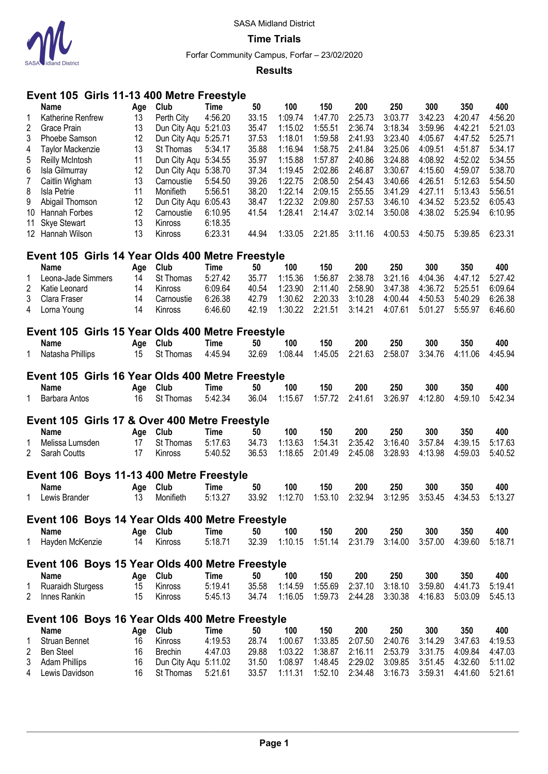

**Time Trials**

Forfar Community Campus, Forfar – 23/02/2020

### **Results**

# **Event 105 Girls 11-13 400 Metre Freestyle**

|                | 1 V V<br>ד טויוט נווט                                   |           | יו טע<br>U U U U     | ししつしりーし     |       |         |         |         |         |         |         |         |
|----------------|---------------------------------------------------------|-----------|----------------------|-------------|-------|---------|---------|---------|---------|---------|---------|---------|
|                | <b>Name</b>                                             | Age       | Club                 | <b>Time</b> | 50    | 100     | 150     | 200     | 250     | 300     | 350     | 400     |
| 1              | Katherine Renfrew                                       | 13        | Perth City           | 4:56.20     | 33.15 | 1:09.74 | 1:47.70 | 2:25.73 | 3:03.77 | 3:42.23 | 4:20.47 | 4:56.20 |
| $\overline{c}$ | Grace Prain                                             | 13        | Dun City Aqu 5:21.03 |             | 35.47 | 1:15.02 | 1:55.51 | 2:36.74 | 3:18.34 | 3:59.96 | 4:42.21 | 5:21.03 |
| 3              | Phoebe Samson                                           | 12        | Dun City Aqu 5:25.71 |             | 37.53 | 1:18.01 | 1:59.58 | 2:41.93 | 3:23.40 | 4:05.67 | 4:47.52 | 5:25.71 |
| 4              | <b>Taylor Mackenzie</b>                                 | 13        | St Thomas            | 5:34.17     | 35.88 | 1:16.94 | 1:58.75 | 2:41.84 | 3:25.06 | 4:09.51 | 4:51.87 | 5:34.17 |
| 5              | <b>Reilly McIntosh</b>                                  | 11        | Dun City Aqu 5:34.55 |             | 35.97 | 1:15.88 | 1:57.87 | 2:40.86 | 3:24.88 | 4:08.92 | 4:52.02 | 5:34.55 |
| 6              | Isla Gilmurray                                          | 12        | Dun City Aqu 5:38.70 |             | 37.34 | 1:19.45 | 2:02.86 | 2:46.87 | 3:30.67 | 4:15.60 | 4:59.07 | 5:38.70 |
| $\overline{7}$ | Caitlin Wigham                                          | 13        | Carnoustie           | 5:54.50     | 39.26 | 1:22.75 | 2:08.50 | 2:54.43 | 3:40.66 | 4:26.51 | 5:12.63 | 5:54.50 |
| 8              | <b>Isla Petrie</b>                                      | 11        | Monifieth            | 5:56.51     | 38.20 | 1:22.14 | 2:09.15 | 2:55.55 | 3:41.29 | 4:27.11 | 5:13.43 | 5:56.51 |
| 9              | Abigail Thomson                                         | 12        | Dun City Aqu 6:05.43 |             | 38.47 | 1:22.32 | 2:09.80 | 2:57.53 | 3:46.10 | 4:34.52 | 5:23.52 | 6:05.43 |
| 10             | Hannah Forbes                                           | 12        | Carnoustie           | 6:10.95     | 41.54 | 1:28.41 | 2:14.47 | 3:02.14 | 3:50.08 | 4:38.02 | 5:25.94 | 6:10.95 |
| 11             | <b>Skye Stewart</b>                                     | 13        | Kinross              | 6:18.35     |       |         |         |         |         |         |         |         |
|                | 12 Hannah Wilson                                        | 13        | Kinross              | 6:23.31     | 44.94 | 1:33.05 | 2:21.85 | 3:11.16 | 4:00.53 | 4:50.75 | 5:39.85 | 6:23.31 |
|                | Event 105 Girls 14 Year Olds 400 Metre Freestyle        |           |                      |             |       |         |         |         |         |         |         |         |
|                | <b>Name</b>                                             |           | Club                 | <b>Time</b> | 50    | 100     | 150     | 200     | 250     | 300     | 350     | 400     |
| 1              | Leona-Jade Simmers                                      | Age<br>14 | <b>St Thomas</b>     | 5:27.42     | 35.77 | 1:15.36 | 1:56.87 | 2:38.78 | 3:21.16 | 4:04.36 | 4:47.12 | 5:27.42 |
| $\overline{2}$ | Katie Leonard                                           | 14        | Kinross              | 6:09.64     | 40.54 | 1:23.90 | 2:11.40 | 2:58.90 | 3:47.38 | 4:36.72 | 5:25.51 | 6:09.64 |
|                |                                                         | 14        |                      | 6:26.38     | 42.79 | 1:30.62 | 2:20.33 | 3:10.28 | 4:00.44 | 4:50.53 | 5:40.29 | 6:26.38 |
| 3              | Clara Fraser                                            |           | Carnoustie           |             |       |         |         |         |         |         |         |         |
| 4              | Lorna Young                                             | 14        | Kinross              | 6:46.60     | 42.19 | 1:30.22 | 2:21.51 | 3:14.21 | 4:07.61 | 5:01.27 | 5:55.97 | 6:46.60 |
|                | Event 105 Girls 15 Year Olds 400 Metre Freestyle        |           |                      |             |       |         |         |         |         |         |         |         |
|                | Name                                                    | Age       | Club                 | Time        | 50    | 100     | 150     | 200     | 250     | 300     | 350     | 400     |
| 1              | Natasha Phillips                                        | 15        | St Thomas            | 4:45.94     | 32.69 | 1:08.44 | 1:45.05 | 2:21.63 | 2:58.07 | 3:34.76 | 4:11.06 | 4:45.94 |
|                | Event 105 Girls 16 Year Olds 400 Metre Freestyle        |           |                      |             |       |         |         |         |         |         |         |         |
|                | Name                                                    | Age       | Club                 | <b>Time</b> | 50    | 100     | 150     | 200     | 250     | 300     | 350     | 400     |
| 1.             | Barbara Antos                                           | 16        | St Thomas            | 5:42.34     | 36.04 | 1:15.67 | 1:57.72 | 2:41.61 | 3:26.97 | 4:12.80 | 4:59.10 | 5:42.34 |
|                |                                                         |           |                      |             |       |         |         |         |         |         |         |         |
|                | Event 105 Girls 17 & Over 400 Metre Freestyle           |           |                      |             |       |         |         |         |         |         |         |         |
|                | <b>Name</b>                                             | Age       | Club                 | <b>Time</b> | 50    | 100     | 150     | 200     | 250     | 300     | 350     | 400     |
| 1              | Melissa Lumsden                                         | 17        | St Thomas            | 5:17.63     | 34.73 | 1:13.63 | 1:54.31 | 2:35.42 | 3:16.40 | 3:57.84 | 4:39.15 | 5:17.63 |
| $\overline{2}$ | Sarah Coutts                                            | 17        | Kinross              | 5:40.52     | 36.53 | 1:18.65 | 2:01.49 | 2:45.08 | 3:28.93 | 4:13.98 | 4:59.03 | 5:40.52 |
|                | Event 106 Boys 11-13 400 Metre Freestyle                |           |                      |             |       |         |         |         |         |         |         |         |
|                | <b>Name</b>                                             | Age       | Club                 | <b>Time</b> | 50    | 100     | 150     | 200     | 250     | 300     | 350     | 400     |
| 1.             | Lewis Brander                                           | 13        | Monifieth            | 5:13.27     | 33.92 | 1:12.70 | 1:53.10 | 2:32.94 | 3:12.95 | 3:53.45 | 4:34.53 | 5:13.27 |
|                |                                                         |           |                      |             |       |         |         |         |         |         |         |         |
|                | Event 106 Boys 14 Year Olds 400 Metre Freestyle         |           |                      |             |       |         |         |         |         |         |         |         |
|                | <b>Name</b>                                             | Age Club  |                      | <b>Time</b> | 50    | 100     | 150     | 200     | 250     | 300     | 350     | 400     |
| 1              | Hayden McKenzie                                         | 14        | Kinross              | 5:18.71     | 32.39 | 1:10.15 | 1:51.14 | 2:31.79 | 3:14.00 | 3:57.00 | 4:39.60 | 5:18.71 |
|                | Event 106 Boys 15 Year Olds 400 Metre Freestyle         |           |                      |             |       |         |         |         |         |         |         |         |
|                | <b>Name</b>                                             | Age       | Club                 | <b>Time</b> | 50    | 100     | 150     | 200     | 250     | 300     | 350     | 400     |
| 1              | <b>Ruaraidh Sturgess</b>                                | 15        | Kinross              | 5:19.41     | 35.58 | 1:14.59 | 1:55.69 | 2:37.10 | 3:18.10 | 3:59.80 | 4:41.73 | 5:19.41 |
| 2              | Innes Rankin                                            | 15        | Kinross              | 5:45.13     | 34.74 | 1:16.05 | 1:59.73 | 2:44.28 | 3:30.38 | 4:16.83 | 5:03.09 | 5:45.13 |
|                |                                                         |           |                      |             |       |         |         |         |         |         |         |         |
|                | Event 106 Boys 16 Year Olds 400 Metre Freestyle<br>Name | Age       | Club                 | <b>Time</b> | 50    | 100     | 150     | 200     | 250     | 300     | 350     | 400     |
| 1              | <b>Struan Bennet</b>                                    | 16        | Kinross              | 4:19.53     | 28.74 | 1:00.67 | 1:33.85 | 2:07.50 | 2:40.76 | 3:14.29 | 3:47.63 | 4:19.53 |
| 2              | <b>Ben Steel</b>                                        | 16        | <b>Brechin</b>       | 4:47.03     | 29.88 | 1:03.22 | 1:38.87 | 2:16.11 | 2:53.79 | 3:31.75 | 4:09.84 | 4:47.03 |
| 3              | <b>Adam Phillips</b>                                    | 16        | Dun City Aqu 5:11.02 |             | 31.50 | 1:08.97 | 1:48.45 | 2:29.02 | 3:09.85 | 3:51.45 | 4:32.60 | 5:11.02 |
| 4              | Lewis Davidson                                          | 16        | St Thomas            | 5:21.61     | 33.57 | 1:11.31 | 1:52.10 | 2:34.48 | 3:16.73 | 3:59.31 | 4:41.60 | 5:21.61 |
|                |                                                         |           |                      |             |       |         |         |         |         |         |         |         |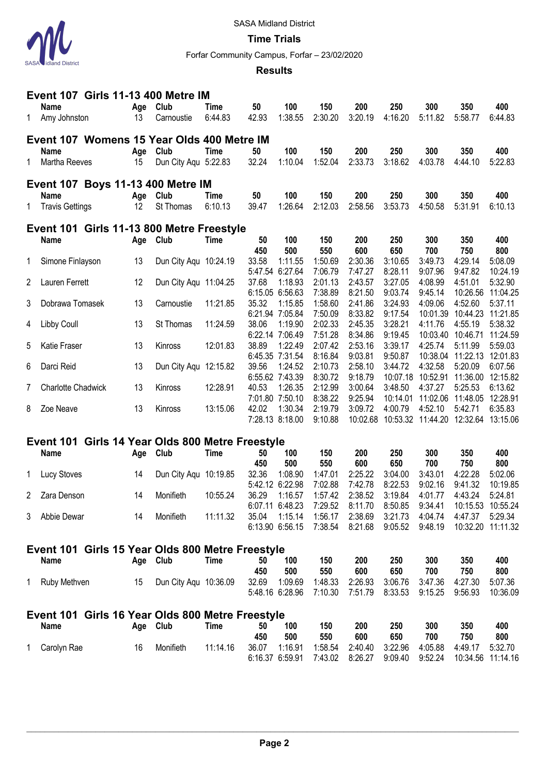

**Time Trials**

Forfar Community Campus, Forfar – 23/02/2020

### **Results**

| 150<br>400<br>Club<br>50<br>100<br>200<br>250<br>300<br>350<br><b>Name</b><br>Age<br>Time<br>6:44.83<br>42.93<br>1:38.55<br>2:30.20<br>3:20.19<br>4:16.20<br>5:11.82<br>5:58.77<br>1<br>6:44.83<br>Amy Johnston<br>13<br>Carnoustie<br>Event 107 Womens 15 Year Olds 400 Metre IM<br>Club<br>50<br>100<br>150<br>200<br>250<br>300<br>400<br><b>Time</b><br>350<br><b>Name</b><br>Age<br>1:52.04<br>3:18.62<br>4:03.78<br>Dun City Aqu 5:22.83<br>32.24<br>1:10.04<br>2:33.73<br>5:22.83<br>1<br>Martha Reeves<br>15<br>4:44.10<br><b>Event 107 Boys 11-13 400 Metre IM</b><br>Club<br>100<br>150<br>200<br>400<br><b>Name</b><br>50<br>250<br>300<br>350<br>Age<br>Time<br>2:12.03<br>3:53.73<br>39.47<br>1:26.64<br>2:58.56<br>4:50.58<br>1<br><b>Travis Gettings</b><br>12<br>St Thomas<br>6:10.13<br>5:31.91<br>6:10.13<br>Event 101 Girls 11-13 800 Metre Freestyle<br><b>Club</b><br><b>Time</b><br>50<br>100<br>150<br>200<br>250<br>300<br>350<br>400<br><b>Name</b><br>Age<br>500<br>550<br>600<br>650<br>700<br>750<br>800<br>450<br>13<br>33.58<br>1:11.55<br>1:50.69<br>3:10.65<br>Simone Finlayson<br>Dun City Aqu 10:24.19<br>2:30.36<br>3:49.73<br>4:29.14<br>5:08.09<br>1<br>8:28.11<br>5:47.54 6:27.64<br>7:06.79<br>7:47.27<br>9:07.96<br>9:47.82<br>10:24.19<br>12<br>1:18.93<br>2:43.57<br>3:27.05<br>4:51.01<br>5:32.90<br>2<br>Lauren Ferrett<br>Dun City Aqu 11:04.25<br>37.68<br>2:01.13<br>4:08.99<br>6:15.05 6:56.63<br>7:38.89<br>8:21.50<br>9:03.74<br>10:26.56<br>11:04.25<br>9:45.14<br>3<br>13<br>35.32<br>1:15.85<br>1:58.60<br>2:41.86<br>3:24.93<br>4:09.06<br>4:52.60<br>5:37.11<br>Dobrawa Tomasek<br>11:21.85<br>Carnoustie<br>11:21.85<br>6:21.94 7:05.84<br>7:50.09<br>8:33.82<br>9:17.54<br>10:44.23<br>10:01.39<br>1:19.90<br>2:45.35<br>3:28.21<br>4:55.19<br>5:38.32<br>13<br>St Thomas<br>38.06<br>2:02.33<br>4:11.76<br>Libby Coull<br>11:24.59<br>4<br>6:22.14 7:06.49<br>9:19.45<br>7:51.28<br>8:34.86<br>10:03.40<br>10:46.71<br>11:24.59<br>5<br>13<br>12:01.83<br>38.89<br>1:22.49<br>2:53.16<br>3:39.17<br>5:59.03<br>Katie Fraser<br>Kinross<br>2:07.42<br>4:25.74<br>5:11.99<br>6:45.35 7:31.54<br>8:16.84<br>9:03.81<br>9:50.87<br>10:38.04<br>11:22.13<br>12:01.83<br>13<br>Dun City Aqu 12:15.82<br>2:58.10<br>4:32.58<br>6<br>Darci Reid<br>39.56<br>1:24.52<br>2:10.73<br>3:44.72<br>5:20.09<br>6:07.56<br>6:55.62 7:43.39<br>8:30.72<br>9:18.79<br>10:52.91<br>10:07.18<br>11:36.00<br>12:15.82<br>Charlotte Chadwick<br>13<br>Kinross<br>12:28.91<br>1:26.35<br>2:12.99<br>3:00.64<br>4:37.27<br>6:13.62<br>7<br>40.53<br>3:48.50<br>5:25.53<br>8:38.22<br>9:25.94<br>11:02.06<br>12:28.91<br>7:01.80 7:50.10<br>10:14.01<br>11:48.05<br>13<br>13:15.06<br>42.02<br>1:30.34<br>2:19.79<br>3:09.72<br>4:00.79<br>4:52.10<br>5:42.71<br>Zoe Neave<br>Kinross<br>6:35.83<br>8<br>7:28.13 8:18.00<br>9:10.88<br>10:02.68<br>10:53.32<br>11:44.20<br>12:32.64<br>13:15.06<br>Event 101 Girls 14 Year Olds 800 Metre Freestyle<br>150<br>300<br>350<br>400<br><b>Name</b><br>Club<br><b>Time</b><br>50<br>100<br>200<br>250<br>Age<br>500<br>550<br>600<br>650<br>700<br>750<br>800<br>450<br>1:08.90<br>2:25.22<br>3:04.00<br>4:22.28<br>5:02.06<br>14<br>Dun City Aqu 10:19.85<br>32.36<br>1:47.01<br>3:43.01<br>Lucy Stoves<br>1<br>8:22.53<br>5:42.12 6:22.98<br>7:02.88<br>7:42.78<br>9:02.16<br>9:41.32<br>10:19.85<br>Monifieth<br>10:55.24<br>36.29<br>1:16.57<br>1:57.42<br>2:38.52<br>3:19.84<br>4:43.24<br>5:24.81<br>$\mathbf{2}^{\circ}$<br>Zara Denson<br>14<br>4:01.77<br>6:07.11 6:48.23<br>8:11.70<br>7:29.52<br>8:50.85<br>9:34.41<br>10:15.53 10:55.24<br>Monifieth<br>11:11.32<br>35.04<br>1:15.14<br>1:56.17<br>2:38.69<br>4:04.74<br>Abbie Dewar<br>14<br>3:21.73<br>4:47.37<br>5:29.34<br>3<br>6:13.90 6:56.15<br>7:38.54<br>9:05.52<br>10:32.20 11:11.32<br>8:21.68<br>9:48.19<br>Event 101 Girls 15 Year Olds 800 Metre Freestyle<br>200<br><b>Name</b><br>Club<br><b>Time</b><br>50<br>100<br>150<br>250<br>300<br>350<br>400<br>Age<br>450<br>500<br>550<br>600<br>650<br>700<br>750<br>800<br>Dun City Aqu 10:36.09<br>32.69<br>1:09.69<br>1:48.33<br>3:06.76<br>3:47.36<br>1<br>Ruby Methven<br>15<br>2:26.93<br>4:27.30<br>5:07.36<br>5:48.16 6:28.96<br>7:10.30<br>7:51.79<br>8:33.53<br>9:15.25<br>9:56.93<br>Event 101 Girls 16 Year Olds 800 Metre Freestyle<br><b>Name</b><br>Club<br><b>Time</b><br>150<br>200<br>250<br>300<br>350<br>400<br>Age<br>50<br>100<br>450<br>500<br>550<br>600<br>650<br>700<br>750<br>800<br>Monifieth<br>36.07<br>1:16.91<br>1:58.54<br>3:22.96<br>4:05.88<br>Carolyn Rae<br>16<br>11:14.16<br>2:40.40<br>4:49.17<br>5:32.70<br>1<br>6:16.37 6:59.91 | Event 107 Girls 11-13 400 Metre IM |  |  |  |  |  |         |         |         |         |          |          |  |
|------------------------------------------------------------------------------------------------------------------------------------------------------------------------------------------------------------------------------------------------------------------------------------------------------------------------------------------------------------------------------------------------------------------------------------------------------------------------------------------------------------------------------------------------------------------------------------------------------------------------------------------------------------------------------------------------------------------------------------------------------------------------------------------------------------------------------------------------------------------------------------------------------------------------------------------------------------------------------------------------------------------------------------------------------------------------------------------------------------------------------------------------------------------------------------------------------------------------------------------------------------------------------------------------------------------------------------------------------------------------------------------------------------------------------------------------------------------------------------------------------------------------------------------------------------------------------------------------------------------------------------------------------------------------------------------------------------------------------------------------------------------------------------------------------------------------------------------------------------------------------------------------------------------------------------------------------------------------------------------------------------------------------------------------------------------------------------------------------------------------------------------------------------------------------------------------------------------------------------------------------------------------------------------------------------------------------------------------------------------------------------------------------------------------------------------------------------------------------------------------------------------------------------------------------------------------------------------------------------------------------------------------------------------------------------------------------------------------------------------------------------------------------------------------------------------------------------------------------------------------------------------------------------------------------------------------------------------------------------------------------------------------------------------------------------------------------------------------------------------------------------------------------------------------------------------------------------------------------------------------------------------------------------------------------------------------------------------------------------------------------------------------------------------------------------------------------------------------------------------------------------------------------------------------------------------------------------------------------------------------------------------------------------------------------------------------------------------------------------------------------------------------------------------------------------------------------------------------------------------------------------------------------------------------------------------------------------------------------------------------------------------------------------------------------------------------------------------------------------------------------------------------------------------------------------------------------------------------------------------------------------------------------------------------------------------------------------------------------------------------------------------------------------------------------------------------------------------------------------------------------------------------------------------------------------------------------------------------------------------------------------------------------------------------------|------------------------------------|--|--|--|--|--|---------|---------|---------|---------|----------|----------|--|
|                                                                                                                                                                                                                                                                                                                                                                                                                                                                                                                                                                                                                                                                                                                                                                                                                                                                                                                                                                                                                                                                                                                                                                                                                                                                                                                                                                                                                                                                                                                                                                                                                                                                                                                                                                                                                                                                                                                                                                                                                                                                                                                                                                                                                                                                                                                                                                                                                                                                                                                                                                                                                                                                                                                                                                                                                                                                                                                                                                                                                                                                                                                                                                                                                                                                                                                                                                                                                                                                                                                                                                                                                                                                                                                                                                                                                                                                                                                                                                                                                                                                                                                                                                                                                                                                                                                                                                                                                                                                                                                                                                                                                                                                              |                                    |  |  |  |  |  |         |         |         |         |          |          |  |
|                                                                                                                                                                                                                                                                                                                                                                                                                                                                                                                                                                                                                                                                                                                                                                                                                                                                                                                                                                                                                                                                                                                                                                                                                                                                                                                                                                                                                                                                                                                                                                                                                                                                                                                                                                                                                                                                                                                                                                                                                                                                                                                                                                                                                                                                                                                                                                                                                                                                                                                                                                                                                                                                                                                                                                                                                                                                                                                                                                                                                                                                                                                                                                                                                                                                                                                                                                                                                                                                                                                                                                                                                                                                                                                                                                                                                                                                                                                                                                                                                                                                                                                                                                                                                                                                                                                                                                                                                                                                                                                                                                                                                                                                              |                                    |  |  |  |  |  |         |         |         |         |          |          |  |
|                                                                                                                                                                                                                                                                                                                                                                                                                                                                                                                                                                                                                                                                                                                                                                                                                                                                                                                                                                                                                                                                                                                                                                                                                                                                                                                                                                                                                                                                                                                                                                                                                                                                                                                                                                                                                                                                                                                                                                                                                                                                                                                                                                                                                                                                                                                                                                                                                                                                                                                                                                                                                                                                                                                                                                                                                                                                                                                                                                                                                                                                                                                                                                                                                                                                                                                                                                                                                                                                                                                                                                                                                                                                                                                                                                                                                                                                                                                                                                                                                                                                                                                                                                                                                                                                                                                                                                                                                                                                                                                                                                                                                                                                              |                                    |  |  |  |  |  |         |         |         |         |          |          |  |
|                                                                                                                                                                                                                                                                                                                                                                                                                                                                                                                                                                                                                                                                                                                                                                                                                                                                                                                                                                                                                                                                                                                                                                                                                                                                                                                                                                                                                                                                                                                                                                                                                                                                                                                                                                                                                                                                                                                                                                                                                                                                                                                                                                                                                                                                                                                                                                                                                                                                                                                                                                                                                                                                                                                                                                                                                                                                                                                                                                                                                                                                                                                                                                                                                                                                                                                                                                                                                                                                                                                                                                                                                                                                                                                                                                                                                                                                                                                                                                                                                                                                                                                                                                                                                                                                                                                                                                                                                                                                                                                                                                                                                                                                              |                                    |  |  |  |  |  |         |         |         |         |          |          |  |
|                                                                                                                                                                                                                                                                                                                                                                                                                                                                                                                                                                                                                                                                                                                                                                                                                                                                                                                                                                                                                                                                                                                                                                                                                                                                                                                                                                                                                                                                                                                                                                                                                                                                                                                                                                                                                                                                                                                                                                                                                                                                                                                                                                                                                                                                                                                                                                                                                                                                                                                                                                                                                                                                                                                                                                                                                                                                                                                                                                                                                                                                                                                                                                                                                                                                                                                                                                                                                                                                                                                                                                                                                                                                                                                                                                                                                                                                                                                                                                                                                                                                                                                                                                                                                                                                                                                                                                                                                                                                                                                                                                                                                                                                              |                                    |  |  |  |  |  |         |         |         |         |          |          |  |
|                                                                                                                                                                                                                                                                                                                                                                                                                                                                                                                                                                                                                                                                                                                                                                                                                                                                                                                                                                                                                                                                                                                                                                                                                                                                                                                                                                                                                                                                                                                                                                                                                                                                                                                                                                                                                                                                                                                                                                                                                                                                                                                                                                                                                                                                                                                                                                                                                                                                                                                                                                                                                                                                                                                                                                                                                                                                                                                                                                                                                                                                                                                                                                                                                                                                                                                                                                                                                                                                                                                                                                                                                                                                                                                                                                                                                                                                                                                                                                                                                                                                                                                                                                                                                                                                                                                                                                                                                                                                                                                                                                                                                                                                              |                                    |  |  |  |  |  |         |         |         |         |          |          |  |
|                                                                                                                                                                                                                                                                                                                                                                                                                                                                                                                                                                                                                                                                                                                                                                                                                                                                                                                                                                                                                                                                                                                                                                                                                                                                                                                                                                                                                                                                                                                                                                                                                                                                                                                                                                                                                                                                                                                                                                                                                                                                                                                                                                                                                                                                                                                                                                                                                                                                                                                                                                                                                                                                                                                                                                                                                                                                                                                                                                                                                                                                                                                                                                                                                                                                                                                                                                                                                                                                                                                                                                                                                                                                                                                                                                                                                                                                                                                                                                                                                                                                                                                                                                                                                                                                                                                                                                                                                                                                                                                                                                                                                                                                              |                                    |  |  |  |  |  |         |         |         |         |          |          |  |
|                                                                                                                                                                                                                                                                                                                                                                                                                                                                                                                                                                                                                                                                                                                                                                                                                                                                                                                                                                                                                                                                                                                                                                                                                                                                                                                                                                                                                                                                                                                                                                                                                                                                                                                                                                                                                                                                                                                                                                                                                                                                                                                                                                                                                                                                                                                                                                                                                                                                                                                                                                                                                                                                                                                                                                                                                                                                                                                                                                                                                                                                                                                                                                                                                                                                                                                                                                                                                                                                                                                                                                                                                                                                                                                                                                                                                                                                                                                                                                                                                                                                                                                                                                                                                                                                                                                                                                                                                                                                                                                                                                                                                                                                              |                                    |  |  |  |  |  |         |         |         |         |          |          |  |
|                                                                                                                                                                                                                                                                                                                                                                                                                                                                                                                                                                                                                                                                                                                                                                                                                                                                                                                                                                                                                                                                                                                                                                                                                                                                                                                                                                                                                                                                                                                                                                                                                                                                                                                                                                                                                                                                                                                                                                                                                                                                                                                                                                                                                                                                                                                                                                                                                                                                                                                                                                                                                                                                                                                                                                                                                                                                                                                                                                                                                                                                                                                                                                                                                                                                                                                                                                                                                                                                                                                                                                                                                                                                                                                                                                                                                                                                                                                                                                                                                                                                                                                                                                                                                                                                                                                                                                                                                                                                                                                                                                                                                                                                              |                                    |  |  |  |  |  |         |         |         |         |          |          |  |
|                                                                                                                                                                                                                                                                                                                                                                                                                                                                                                                                                                                                                                                                                                                                                                                                                                                                                                                                                                                                                                                                                                                                                                                                                                                                                                                                                                                                                                                                                                                                                                                                                                                                                                                                                                                                                                                                                                                                                                                                                                                                                                                                                                                                                                                                                                                                                                                                                                                                                                                                                                                                                                                                                                                                                                                                                                                                                                                                                                                                                                                                                                                                                                                                                                                                                                                                                                                                                                                                                                                                                                                                                                                                                                                                                                                                                                                                                                                                                                                                                                                                                                                                                                                                                                                                                                                                                                                                                                                                                                                                                                                                                                                                              |                                    |  |  |  |  |  |         |         |         |         |          |          |  |
|                                                                                                                                                                                                                                                                                                                                                                                                                                                                                                                                                                                                                                                                                                                                                                                                                                                                                                                                                                                                                                                                                                                                                                                                                                                                                                                                                                                                                                                                                                                                                                                                                                                                                                                                                                                                                                                                                                                                                                                                                                                                                                                                                                                                                                                                                                                                                                                                                                                                                                                                                                                                                                                                                                                                                                                                                                                                                                                                                                                                                                                                                                                                                                                                                                                                                                                                                                                                                                                                                                                                                                                                                                                                                                                                                                                                                                                                                                                                                                                                                                                                                                                                                                                                                                                                                                                                                                                                                                                                                                                                                                                                                                                                              |                                    |  |  |  |  |  |         |         |         |         |          |          |  |
|                                                                                                                                                                                                                                                                                                                                                                                                                                                                                                                                                                                                                                                                                                                                                                                                                                                                                                                                                                                                                                                                                                                                                                                                                                                                                                                                                                                                                                                                                                                                                                                                                                                                                                                                                                                                                                                                                                                                                                                                                                                                                                                                                                                                                                                                                                                                                                                                                                                                                                                                                                                                                                                                                                                                                                                                                                                                                                                                                                                                                                                                                                                                                                                                                                                                                                                                                                                                                                                                                                                                                                                                                                                                                                                                                                                                                                                                                                                                                                                                                                                                                                                                                                                                                                                                                                                                                                                                                                                                                                                                                                                                                                                                              |                                    |  |  |  |  |  |         |         |         |         |          |          |  |
|                                                                                                                                                                                                                                                                                                                                                                                                                                                                                                                                                                                                                                                                                                                                                                                                                                                                                                                                                                                                                                                                                                                                                                                                                                                                                                                                                                                                                                                                                                                                                                                                                                                                                                                                                                                                                                                                                                                                                                                                                                                                                                                                                                                                                                                                                                                                                                                                                                                                                                                                                                                                                                                                                                                                                                                                                                                                                                                                                                                                                                                                                                                                                                                                                                                                                                                                                                                                                                                                                                                                                                                                                                                                                                                                                                                                                                                                                                                                                                                                                                                                                                                                                                                                                                                                                                                                                                                                                                                                                                                                                                                                                                                                              |                                    |  |  |  |  |  |         |         |         |         |          |          |  |
|                                                                                                                                                                                                                                                                                                                                                                                                                                                                                                                                                                                                                                                                                                                                                                                                                                                                                                                                                                                                                                                                                                                                                                                                                                                                                                                                                                                                                                                                                                                                                                                                                                                                                                                                                                                                                                                                                                                                                                                                                                                                                                                                                                                                                                                                                                                                                                                                                                                                                                                                                                                                                                                                                                                                                                                                                                                                                                                                                                                                                                                                                                                                                                                                                                                                                                                                                                                                                                                                                                                                                                                                                                                                                                                                                                                                                                                                                                                                                                                                                                                                                                                                                                                                                                                                                                                                                                                                                                                                                                                                                                                                                                                                              |                                    |  |  |  |  |  |         |         |         |         |          |          |  |
|                                                                                                                                                                                                                                                                                                                                                                                                                                                                                                                                                                                                                                                                                                                                                                                                                                                                                                                                                                                                                                                                                                                                                                                                                                                                                                                                                                                                                                                                                                                                                                                                                                                                                                                                                                                                                                                                                                                                                                                                                                                                                                                                                                                                                                                                                                                                                                                                                                                                                                                                                                                                                                                                                                                                                                                                                                                                                                                                                                                                                                                                                                                                                                                                                                                                                                                                                                                                                                                                                                                                                                                                                                                                                                                                                                                                                                                                                                                                                                                                                                                                                                                                                                                                                                                                                                                                                                                                                                                                                                                                                                                                                                                                              |                                    |  |  |  |  |  |         |         |         |         |          |          |  |
|                                                                                                                                                                                                                                                                                                                                                                                                                                                                                                                                                                                                                                                                                                                                                                                                                                                                                                                                                                                                                                                                                                                                                                                                                                                                                                                                                                                                                                                                                                                                                                                                                                                                                                                                                                                                                                                                                                                                                                                                                                                                                                                                                                                                                                                                                                                                                                                                                                                                                                                                                                                                                                                                                                                                                                                                                                                                                                                                                                                                                                                                                                                                                                                                                                                                                                                                                                                                                                                                                                                                                                                                                                                                                                                                                                                                                                                                                                                                                                                                                                                                                                                                                                                                                                                                                                                                                                                                                                                                                                                                                                                                                                                                              |                                    |  |  |  |  |  |         |         |         |         |          |          |  |
|                                                                                                                                                                                                                                                                                                                                                                                                                                                                                                                                                                                                                                                                                                                                                                                                                                                                                                                                                                                                                                                                                                                                                                                                                                                                                                                                                                                                                                                                                                                                                                                                                                                                                                                                                                                                                                                                                                                                                                                                                                                                                                                                                                                                                                                                                                                                                                                                                                                                                                                                                                                                                                                                                                                                                                                                                                                                                                                                                                                                                                                                                                                                                                                                                                                                                                                                                                                                                                                                                                                                                                                                                                                                                                                                                                                                                                                                                                                                                                                                                                                                                                                                                                                                                                                                                                                                                                                                                                                                                                                                                                                                                                                                              |                                    |  |  |  |  |  |         |         |         |         |          |          |  |
|                                                                                                                                                                                                                                                                                                                                                                                                                                                                                                                                                                                                                                                                                                                                                                                                                                                                                                                                                                                                                                                                                                                                                                                                                                                                                                                                                                                                                                                                                                                                                                                                                                                                                                                                                                                                                                                                                                                                                                                                                                                                                                                                                                                                                                                                                                                                                                                                                                                                                                                                                                                                                                                                                                                                                                                                                                                                                                                                                                                                                                                                                                                                                                                                                                                                                                                                                                                                                                                                                                                                                                                                                                                                                                                                                                                                                                                                                                                                                                                                                                                                                                                                                                                                                                                                                                                                                                                                                                                                                                                                                                                                                                                                              |                                    |  |  |  |  |  |         |         |         |         |          |          |  |
|                                                                                                                                                                                                                                                                                                                                                                                                                                                                                                                                                                                                                                                                                                                                                                                                                                                                                                                                                                                                                                                                                                                                                                                                                                                                                                                                                                                                                                                                                                                                                                                                                                                                                                                                                                                                                                                                                                                                                                                                                                                                                                                                                                                                                                                                                                                                                                                                                                                                                                                                                                                                                                                                                                                                                                                                                                                                                                                                                                                                                                                                                                                                                                                                                                                                                                                                                                                                                                                                                                                                                                                                                                                                                                                                                                                                                                                                                                                                                                                                                                                                                                                                                                                                                                                                                                                                                                                                                                                                                                                                                                                                                                                                              |                                    |  |  |  |  |  |         |         |         |         |          |          |  |
|                                                                                                                                                                                                                                                                                                                                                                                                                                                                                                                                                                                                                                                                                                                                                                                                                                                                                                                                                                                                                                                                                                                                                                                                                                                                                                                                                                                                                                                                                                                                                                                                                                                                                                                                                                                                                                                                                                                                                                                                                                                                                                                                                                                                                                                                                                                                                                                                                                                                                                                                                                                                                                                                                                                                                                                                                                                                                                                                                                                                                                                                                                                                                                                                                                                                                                                                                                                                                                                                                                                                                                                                                                                                                                                                                                                                                                                                                                                                                                                                                                                                                                                                                                                                                                                                                                                                                                                                                                                                                                                                                                                                                                                                              |                                    |  |  |  |  |  |         |         |         |         |          |          |  |
|                                                                                                                                                                                                                                                                                                                                                                                                                                                                                                                                                                                                                                                                                                                                                                                                                                                                                                                                                                                                                                                                                                                                                                                                                                                                                                                                                                                                                                                                                                                                                                                                                                                                                                                                                                                                                                                                                                                                                                                                                                                                                                                                                                                                                                                                                                                                                                                                                                                                                                                                                                                                                                                                                                                                                                                                                                                                                                                                                                                                                                                                                                                                                                                                                                                                                                                                                                                                                                                                                                                                                                                                                                                                                                                                                                                                                                                                                                                                                                                                                                                                                                                                                                                                                                                                                                                                                                                                                                                                                                                                                                                                                                                                              |                                    |  |  |  |  |  |         |         |         |         |          |          |  |
|                                                                                                                                                                                                                                                                                                                                                                                                                                                                                                                                                                                                                                                                                                                                                                                                                                                                                                                                                                                                                                                                                                                                                                                                                                                                                                                                                                                                                                                                                                                                                                                                                                                                                                                                                                                                                                                                                                                                                                                                                                                                                                                                                                                                                                                                                                                                                                                                                                                                                                                                                                                                                                                                                                                                                                                                                                                                                                                                                                                                                                                                                                                                                                                                                                                                                                                                                                                                                                                                                                                                                                                                                                                                                                                                                                                                                                                                                                                                                                                                                                                                                                                                                                                                                                                                                                                                                                                                                                                                                                                                                                                                                                                                              |                                    |  |  |  |  |  |         |         |         |         |          |          |  |
|                                                                                                                                                                                                                                                                                                                                                                                                                                                                                                                                                                                                                                                                                                                                                                                                                                                                                                                                                                                                                                                                                                                                                                                                                                                                                                                                                                                                                                                                                                                                                                                                                                                                                                                                                                                                                                                                                                                                                                                                                                                                                                                                                                                                                                                                                                                                                                                                                                                                                                                                                                                                                                                                                                                                                                                                                                                                                                                                                                                                                                                                                                                                                                                                                                                                                                                                                                                                                                                                                                                                                                                                                                                                                                                                                                                                                                                                                                                                                                                                                                                                                                                                                                                                                                                                                                                                                                                                                                                                                                                                                                                                                                                                              |                                    |  |  |  |  |  |         |         |         |         |          |          |  |
|                                                                                                                                                                                                                                                                                                                                                                                                                                                                                                                                                                                                                                                                                                                                                                                                                                                                                                                                                                                                                                                                                                                                                                                                                                                                                                                                                                                                                                                                                                                                                                                                                                                                                                                                                                                                                                                                                                                                                                                                                                                                                                                                                                                                                                                                                                                                                                                                                                                                                                                                                                                                                                                                                                                                                                                                                                                                                                                                                                                                                                                                                                                                                                                                                                                                                                                                                                                                                                                                                                                                                                                                                                                                                                                                                                                                                                                                                                                                                                                                                                                                                                                                                                                                                                                                                                                                                                                                                                                                                                                                                                                                                                                                              |                                    |  |  |  |  |  |         |         |         |         |          |          |  |
|                                                                                                                                                                                                                                                                                                                                                                                                                                                                                                                                                                                                                                                                                                                                                                                                                                                                                                                                                                                                                                                                                                                                                                                                                                                                                                                                                                                                                                                                                                                                                                                                                                                                                                                                                                                                                                                                                                                                                                                                                                                                                                                                                                                                                                                                                                                                                                                                                                                                                                                                                                                                                                                                                                                                                                                                                                                                                                                                                                                                                                                                                                                                                                                                                                                                                                                                                                                                                                                                                                                                                                                                                                                                                                                                                                                                                                                                                                                                                                                                                                                                                                                                                                                                                                                                                                                                                                                                                                                                                                                                                                                                                                                                              |                                    |  |  |  |  |  |         |         |         |         |          |          |  |
|                                                                                                                                                                                                                                                                                                                                                                                                                                                                                                                                                                                                                                                                                                                                                                                                                                                                                                                                                                                                                                                                                                                                                                                                                                                                                                                                                                                                                                                                                                                                                                                                                                                                                                                                                                                                                                                                                                                                                                                                                                                                                                                                                                                                                                                                                                                                                                                                                                                                                                                                                                                                                                                                                                                                                                                                                                                                                                                                                                                                                                                                                                                                                                                                                                                                                                                                                                                                                                                                                                                                                                                                                                                                                                                                                                                                                                                                                                                                                                                                                                                                                                                                                                                                                                                                                                                                                                                                                                                                                                                                                                                                                                                                              |                                    |  |  |  |  |  |         |         |         |         |          |          |  |
|                                                                                                                                                                                                                                                                                                                                                                                                                                                                                                                                                                                                                                                                                                                                                                                                                                                                                                                                                                                                                                                                                                                                                                                                                                                                                                                                                                                                                                                                                                                                                                                                                                                                                                                                                                                                                                                                                                                                                                                                                                                                                                                                                                                                                                                                                                                                                                                                                                                                                                                                                                                                                                                                                                                                                                                                                                                                                                                                                                                                                                                                                                                                                                                                                                                                                                                                                                                                                                                                                                                                                                                                                                                                                                                                                                                                                                                                                                                                                                                                                                                                                                                                                                                                                                                                                                                                                                                                                                                                                                                                                                                                                                                                              |                                    |  |  |  |  |  |         |         |         |         |          |          |  |
|                                                                                                                                                                                                                                                                                                                                                                                                                                                                                                                                                                                                                                                                                                                                                                                                                                                                                                                                                                                                                                                                                                                                                                                                                                                                                                                                                                                                                                                                                                                                                                                                                                                                                                                                                                                                                                                                                                                                                                                                                                                                                                                                                                                                                                                                                                                                                                                                                                                                                                                                                                                                                                                                                                                                                                                                                                                                                                                                                                                                                                                                                                                                                                                                                                                                                                                                                                                                                                                                                                                                                                                                                                                                                                                                                                                                                                                                                                                                                                                                                                                                                                                                                                                                                                                                                                                                                                                                                                                                                                                                                                                                                                                                              |                                    |  |  |  |  |  |         |         |         |         |          |          |  |
|                                                                                                                                                                                                                                                                                                                                                                                                                                                                                                                                                                                                                                                                                                                                                                                                                                                                                                                                                                                                                                                                                                                                                                                                                                                                                                                                                                                                                                                                                                                                                                                                                                                                                                                                                                                                                                                                                                                                                                                                                                                                                                                                                                                                                                                                                                                                                                                                                                                                                                                                                                                                                                                                                                                                                                                                                                                                                                                                                                                                                                                                                                                                                                                                                                                                                                                                                                                                                                                                                                                                                                                                                                                                                                                                                                                                                                                                                                                                                                                                                                                                                                                                                                                                                                                                                                                                                                                                                                                                                                                                                                                                                                                                              |                                    |  |  |  |  |  |         |         |         |         |          |          |  |
|                                                                                                                                                                                                                                                                                                                                                                                                                                                                                                                                                                                                                                                                                                                                                                                                                                                                                                                                                                                                                                                                                                                                                                                                                                                                                                                                                                                                                                                                                                                                                                                                                                                                                                                                                                                                                                                                                                                                                                                                                                                                                                                                                                                                                                                                                                                                                                                                                                                                                                                                                                                                                                                                                                                                                                                                                                                                                                                                                                                                                                                                                                                                                                                                                                                                                                                                                                                                                                                                                                                                                                                                                                                                                                                                                                                                                                                                                                                                                                                                                                                                                                                                                                                                                                                                                                                                                                                                                                                                                                                                                                                                                                                                              |                                    |  |  |  |  |  |         |         |         |         |          |          |  |
|                                                                                                                                                                                                                                                                                                                                                                                                                                                                                                                                                                                                                                                                                                                                                                                                                                                                                                                                                                                                                                                                                                                                                                                                                                                                                                                                                                                                                                                                                                                                                                                                                                                                                                                                                                                                                                                                                                                                                                                                                                                                                                                                                                                                                                                                                                                                                                                                                                                                                                                                                                                                                                                                                                                                                                                                                                                                                                                                                                                                                                                                                                                                                                                                                                                                                                                                                                                                                                                                                                                                                                                                                                                                                                                                                                                                                                                                                                                                                                                                                                                                                                                                                                                                                                                                                                                                                                                                                                                                                                                                                                                                                                                                              |                                    |  |  |  |  |  |         |         |         |         |          |          |  |
|                                                                                                                                                                                                                                                                                                                                                                                                                                                                                                                                                                                                                                                                                                                                                                                                                                                                                                                                                                                                                                                                                                                                                                                                                                                                                                                                                                                                                                                                                                                                                                                                                                                                                                                                                                                                                                                                                                                                                                                                                                                                                                                                                                                                                                                                                                                                                                                                                                                                                                                                                                                                                                                                                                                                                                                                                                                                                                                                                                                                                                                                                                                                                                                                                                                                                                                                                                                                                                                                                                                                                                                                                                                                                                                                                                                                                                                                                                                                                                                                                                                                                                                                                                                                                                                                                                                                                                                                                                                                                                                                                                                                                                                                              |                                    |  |  |  |  |  |         |         |         |         |          |          |  |
|                                                                                                                                                                                                                                                                                                                                                                                                                                                                                                                                                                                                                                                                                                                                                                                                                                                                                                                                                                                                                                                                                                                                                                                                                                                                                                                                                                                                                                                                                                                                                                                                                                                                                                                                                                                                                                                                                                                                                                                                                                                                                                                                                                                                                                                                                                                                                                                                                                                                                                                                                                                                                                                                                                                                                                                                                                                                                                                                                                                                                                                                                                                                                                                                                                                                                                                                                                                                                                                                                                                                                                                                                                                                                                                                                                                                                                                                                                                                                                                                                                                                                                                                                                                                                                                                                                                                                                                                                                                                                                                                                                                                                                                                              |                                    |  |  |  |  |  |         |         |         |         |          |          |  |
|                                                                                                                                                                                                                                                                                                                                                                                                                                                                                                                                                                                                                                                                                                                                                                                                                                                                                                                                                                                                                                                                                                                                                                                                                                                                                                                                                                                                                                                                                                                                                                                                                                                                                                                                                                                                                                                                                                                                                                                                                                                                                                                                                                                                                                                                                                                                                                                                                                                                                                                                                                                                                                                                                                                                                                                                                                                                                                                                                                                                                                                                                                                                                                                                                                                                                                                                                                                                                                                                                                                                                                                                                                                                                                                                                                                                                                                                                                                                                                                                                                                                                                                                                                                                                                                                                                                                                                                                                                                                                                                                                                                                                                                                              |                                    |  |  |  |  |  |         |         |         |         |          |          |  |
|                                                                                                                                                                                                                                                                                                                                                                                                                                                                                                                                                                                                                                                                                                                                                                                                                                                                                                                                                                                                                                                                                                                                                                                                                                                                                                                                                                                                                                                                                                                                                                                                                                                                                                                                                                                                                                                                                                                                                                                                                                                                                                                                                                                                                                                                                                                                                                                                                                                                                                                                                                                                                                                                                                                                                                                                                                                                                                                                                                                                                                                                                                                                                                                                                                                                                                                                                                                                                                                                                                                                                                                                                                                                                                                                                                                                                                                                                                                                                                                                                                                                                                                                                                                                                                                                                                                                                                                                                                                                                                                                                                                                                                                                              |                                    |  |  |  |  |  |         |         |         |         |          |          |  |
|                                                                                                                                                                                                                                                                                                                                                                                                                                                                                                                                                                                                                                                                                                                                                                                                                                                                                                                                                                                                                                                                                                                                                                                                                                                                                                                                                                                                                                                                                                                                                                                                                                                                                                                                                                                                                                                                                                                                                                                                                                                                                                                                                                                                                                                                                                                                                                                                                                                                                                                                                                                                                                                                                                                                                                                                                                                                                                                                                                                                                                                                                                                                                                                                                                                                                                                                                                                                                                                                                                                                                                                                                                                                                                                                                                                                                                                                                                                                                                                                                                                                                                                                                                                                                                                                                                                                                                                                                                                                                                                                                                                                                                                                              |                                    |  |  |  |  |  |         |         |         |         |          |          |  |
|                                                                                                                                                                                                                                                                                                                                                                                                                                                                                                                                                                                                                                                                                                                                                                                                                                                                                                                                                                                                                                                                                                                                                                                                                                                                                                                                                                                                                                                                                                                                                                                                                                                                                                                                                                                                                                                                                                                                                                                                                                                                                                                                                                                                                                                                                                                                                                                                                                                                                                                                                                                                                                                                                                                                                                                                                                                                                                                                                                                                                                                                                                                                                                                                                                                                                                                                                                                                                                                                                                                                                                                                                                                                                                                                                                                                                                                                                                                                                                                                                                                                                                                                                                                                                                                                                                                                                                                                                                                                                                                                                                                                                                                                              |                                    |  |  |  |  |  |         |         |         |         |          |          |  |
|                                                                                                                                                                                                                                                                                                                                                                                                                                                                                                                                                                                                                                                                                                                                                                                                                                                                                                                                                                                                                                                                                                                                                                                                                                                                                                                                                                                                                                                                                                                                                                                                                                                                                                                                                                                                                                                                                                                                                                                                                                                                                                                                                                                                                                                                                                                                                                                                                                                                                                                                                                                                                                                                                                                                                                                                                                                                                                                                                                                                                                                                                                                                                                                                                                                                                                                                                                                                                                                                                                                                                                                                                                                                                                                                                                                                                                                                                                                                                                                                                                                                                                                                                                                                                                                                                                                                                                                                                                                                                                                                                                                                                                                                              |                                    |  |  |  |  |  |         |         |         |         |          |          |  |
|                                                                                                                                                                                                                                                                                                                                                                                                                                                                                                                                                                                                                                                                                                                                                                                                                                                                                                                                                                                                                                                                                                                                                                                                                                                                                                                                                                                                                                                                                                                                                                                                                                                                                                                                                                                                                                                                                                                                                                                                                                                                                                                                                                                                                                                                                                                                                                                                                                                                                                                                                                                                                                                                                                                                                                                                                                                                                                                                                                                                                                                                                                                                                                                                                                                                                                                                                                                                                                                                                                                                                                                                                                                                                                                                                                                                                                                                                                                                                                                                                                                                                                                                                                                                                                                                                                                                                                                                                                                                                                                                                                                                                                                                              |                                    |  |  |  |  |  |         |         |         |         |          |          |  |
|                                                                                                                                                                                                                                                                                                                                                                                                                                                                                                                                                                                                                                                                                                                                                                                                                                                                                                                                                                                                                                                                                                                                                                                                                                                                                                                                                                                                                                                                                                                                                                                                                                                                                                                                                                                                                                                                                                                                                                                                                                                                                                                                                                                                                                                                                                                                                                                                                                                                                                                                                                                                                                                                                                                                                                                                                                                                                                                                                                                                                                                                                                                                                                                                                                                                                                                                                                                                                                                                                                                                                                                                                                                                                                                                                                                                                                                                                                                                                                                                                                                                                                                                                                                                                                                                                                                                                                                                                                                                                                                                                                                                                                                                              |                                    |  |  |  |  |  |         |         |         |         |          |          |  |
|                                                                                                                                                                                                                                                                                                                                                                                                                                                                                                                                                                                                                                                                                                                                                                                                                                                                                                                                                                                                                                                                                                                                                                                                                                                                                                                                                                                                                                                                                                                                                                                                                                                                                                                                                                                                                                                                                                                                                                                                                                                                                                                                                                                                                                                                                                                                                                                                                                                                                                                                                                                                                                                                                                                                                                                                                                                                                                                                                                                                                                                                                                                                                                                                                                                                                                                                                                                                                                                                                                                                                                                                                                                                                                                                                                                                                                                                                                                                                                                                                                                                                                                                                                                                                                                                                                                                                                                                                                                                                                                                                                                                                                                                              |                                    |  |  |  |  |  |         |         |         |         |          | 10:36.09 |  |
|                                                                                                                                                                                                                                                                                                                                                                                                                                                                                                                                                                                                                                                                                                                                                                                                                                                                                                                                                                                                                                                                                                                                                                                                                                                                                                                                                                                                                                                                                                                                                                                                                                                                                                                                                                                                                                                                                                                                                                                                                                                                                                                                                                                                                                                                                                                                                                                                                                                                                                                                                                                                                                                                                                                                                                                                                                                                                                                                                                                                                                                                                                                                                                                                                                                                                                                                                                                                                                                                                                                                                                                                                                                                                                                                                                                                                                                                                                                                                                                                                                                                                                                                                                                                                                                                                                                                                                                                                                                                                                                                                                                                                                                                              |                                    |  |  |  |  |  |         |         |         |         |          |          |  |
|                                                                                                                                                                                                                                                                                                                                                                                                                                                                                                                                                                                                                                                                                                                                                                                                                                                                                                                                                                                                                                                                                                                                                                                                                                                                                                                                                                                                                                                                                                                                                                                                                                                                                                                                                                                                                                                                                                                                                                                                                                                                                                                                                                                                                                                                                                                                                                                                                                                                                                                                                                                                                                                                                                                                                                                                                                                                                                                                                                                                                                                                                                                                                                                                                                                                                                                                                                                                                                                                                                                                                                                                                                                                                                                                                                                                                                                                                                                                                                                                                                                                                                                                                                                                                                                                                                                                                                                                                                                                                                                                                                                                                                                                              |                                    |  |  |  |  |  |         |         |         |         |          |          |  |
|                                                                                                                                                                                                                                                                                                                                                                                                                                                                                                                                                                                                                                                                                                                                                                                                                                                                                                                                                                                                                                                                                                                                                                                                                                                                                                                                                                                                                                                                                                                                                                                                                                                                                                                                                                                                                                                                                                                                                                                                                                                                                                                                                                                                                                                                                                                                                                                                                                                                                                                                                                                                                                                                                                                                                                                                                                                                                                                                                                                                                                                                                                                                                                                                                                                                                                                                                                                                                                                                                                                                                                                                                                                                                                                                                                                                                                                                                                                                                                                                                                                                                                                                                                                                                                                                                                                                                                                                                                                                                                                                                                                                                                                                              |                                    |  |  |  |  |  |         |         |         |         |          |          |  |
|                                                                                                                                                                                                                                                                                                                                                                                                                                                                                                                                                                                                                                                                                                                                                                                                                                                                                                                                                                                                                                                                                                                                                                                                                                                                                                                                                                                                                                                                                                                                                                                                                                                                                                                                                                                                                                                                                                                                                                                                                                                                                                                                                                                                                                                                                                                                                                                                                                                                                                                                                                                                                                                                                                                                                                                                                                                                                                                                                                                                                                                                                                                                                                                                                                                                                                                                                                                                                                                                                                                                                                                                                                                                                                                                                                                                                                                                                                                                                                                                                                                                                                                                                                                                                                                                                                                                                                                                                                                                                                                                                                                                                                                                              |                                    |  |  |  |  |  |         |         |         |         |          |          |  |
|                                                                                                                                                                                                                                                                                                                                                                                                                                                                                                                                                                                                                                                                                                                                                                                                                                                                                                                                                                                                                                                                                                                                                                                                                                                                                                                                                                                                                                                                                                                                                                                                                                                                                                                                                                                                                                                                                                                                                                                                                                                                                                                                                                                                                                                                                                                                                                                                                                                                                                                                                                                                                                                                                                                                                                                                                                                                                                                                                                                                                                                                                                                                                                                                                                                                                                                                                                                                                                                                                                                                                                                                                                                                                                                                                                                                                                                                                                                                                                                                                                                                                                                                                                                                                                                                                                                                                                                                                                                                                                                                                                                                                                                                              |                                    |  |  |  |  |  | 7:43.02 | 8:26.27 | 9:09.40 | 9:52.24 | 10:34.56 | 11:14.16 |  |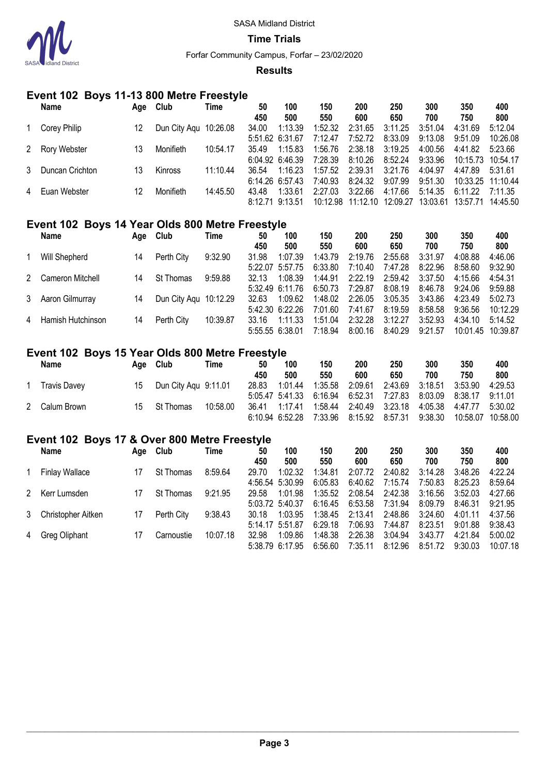

**Time Trials**

Forfar Community Campus, Forfar – 23/02/2020

### **Results**

## **Event 102 Boys 11-13 800 Metre Freestyle**

|   | Name            | Age | Club                  | Time     | 50              | 100             | 150     | 200               | 250      | 300      | 350               | 400      |
|---|-----------------|-----|-----------------------|----------|-----------------|-----------------|---------|-------------------|----------|----------|-------------------|----------|
|   |                 |     |                       |          | 450             | 500             | 550     | 600               | 650      | 700      | 750               | 800      |
|   | Corey Philip    | 12  | Dun City Aqu 10:26.08 |          | 34.00           | 1:13.39         | 1:52.32 | 2:31.65           | 3:11.25  | 3:51.04  | 4:31.69           | 5:12.04  |
|   |                 |     |                       |          |                 | 5:51.62 6:31.67 | 7:12.47 | 7:52.72           | 8:33.09  | 9:13.08  | 9:51.09           | 10:26.08 |
|   | 2 Rory Webster  | 13  | Monifieth             | 10:54.17 | 35.49           | 1:15.83         | 1:56.76 | 2:38.18           | 3:19.25  | 4:00.56  | 4:41.82           | 5:23.66  |
|   |                 |     |                       |          |                 | 6:04.92 6:46.39 | 7:28.39 | 8:10.26           | 8:52.24  | 9:33.96  | 10:15.73 10:54.17 |          |
| 3 | Duncan Crichton | 13  | <b>Kinross</b>        | 11:10.44 | 36.54           | 1:16.23         | 1:57.52 | 2:39.31           | 3:21.76  | 4:04.97  | 4:47.89           | 5:31.61  |
|   |                 |     |                       |          |                 | 6:14.26 6:57.43 | 7:40.93 | 8:24.32           | 9:07.99  | 9:51.30  | 10:33.25 11:10.44 |          |
|   | 4 Euan Webster  | 12  | Monifieth             | 14:45.50 | 43.48           | 1:33.61         | 2:27.03 | 3:22.66           | 4:17.66  | 5:14.35  | 6:11.22           | 7:11.35  |
|   |                 |     |                       |          | 8:12.71 9:13.51 |                 |         | 10:12.98 11:12.10 | 12:09.27 | 13:03.61 | 13:57.71          | 14:45.50 |

## **Event 102 Boys 14 Year Olds 800 Metre Freestyle**

| <b>Name</b>         | Age | Club                  | Time     | 50    | 100             | 150     | 200     | 250     | 300     | 350               | 400      |
|---------------------|-----|-----------------------|----------|-------|-----------------|---------|---------|---------|---------|-------------------|----------|
|                     |     |                       |          | 450   | 500             | 550     | 600     | 650     | 700     | 750               | 800      |
| Will Shepherd       | 14  | Perth City            | 9:32.90  | 31.98 | 1:07.39         | 1:43.79 | 2:19.76 | 2:55.68 | 3:31.97 | 4:08.88           | 4:46.06  |
|                     |     |                       |          |       | 5:22.07 5:57.75 | 6:33.80 | 7:10.40 | 7:47.28 | 8:22.96 | 8:58.60           | 9:32.90  |
| 2 Cameron Mitchell  | 14  | St Thomas             | 9:59.88  | 32 13 | 1:08.39         | 1:44.91 | 2:22.19 | 2:59.42 | 3:37.50 | 4:15.66           | 4:54.31  |
|                     |     |                       |          |       | 5:32.49 6:11.76 | 6:50.73 | 7:29.87 | 8:08.19 | 8:46.78 | 9:24.06           | 9:59.88  |
| 3 Aaron Gilmurray   | 14  | Dun City Agu 10:12.29 |          | 32.63 | 1:09.62         | 1:48.02 | 2:26.05 | 3:05.35 | 3:43.86 | 4:23.49           | 5:02.73  |
|                     |     |                       |          |       | 5:42.30 6:22.26 | 7:01.60 | 7:41.67 | 8:19.59 | 8:58.58 | 9:36.56           | 10:12.29 |
| 4 Hamish Hutchinson | 14  | Perth City            | 10:39.87 | 33.16 | 1:11.33         | 1:51.04 | 2:32.28 | 3:12.27 | 3:52.93 | 4:34.10           | 5:14.52  |
|                     |     |                       |          |       | 5:55.55 6:38.01 | 7:18.94 | 8:00.16 | 8:40.29 | 9:21.57 | 10:01.45 10:39.87 |          |

## **Event 102 Boys 15 Year Olds 800 Metre Freestyle**

| <b>Name</b>         | Aae | Club                 | Time     | 50    | 100             | 150                             | 200     | 250     | 300     | 350      | 400      |
|---------------------|-----|----------------------|----------|-------|-----------------|---------------------------------|---------|---------|---------|----------|----------|
|                     |     |                      |          | 450   | 500             | 550                             | 600     | 650     | 700     | 750      | 800      |
| <b>Travis Davey</b> | 15  | Dun City Agu 9:11.01 |          | 28.83 | 1:01.44         | 1:35.58                         | 2:09.61 | 2:43.69 | 3:18.51 | 3:53.90  | 4:29.53  |
|                     |     |                      |          |       |                 | 5:05.47 5:41.33 6:16.94 6:52.31 |         | 7:27.83 | 8:03.09 | 8:38.17  | 9:11.01  |
| 2 Calum Brown       | 15. | St Thomas            | 10:58.00 | 36.41 | 1:17.41         | 1:58.44 2:40.49                 |         | 3:23.18 | 4:05.38 | 4:47.77  | 5:30.02  |
|                     |     |                      |          |       | 6:10.94 6:52.28 | 7:33.96 8:15.92                 |         | 8:57.31 | 9:38.30 | 10:58.07 | 10:58.00 |

# **Event 102 Boys 17 & Over 800 Metre Freestyle**

|   | Name                  | Age | Club             | Time     | 50    | 100             | 150     | 200     | 250     | 300     | 350     | 400      |
|---|-----------------------|-----|------------------|----------|-------|-----------------|---------|---------|---------|---------|---------|----------|
|   |                       |     |                  |          | 450   | 500             | 550     | 600     | 650     | 700     | 750     | 800      |
|   | <b>Finlay Wallace</b> | 17  | <b>St Thomas</b> | 8:59.64  | 29.70 | 1:02.32         | 1:34.81 | 2:07.72 | 2:40.82 | 3:14.28 | 3:48.26 | 4:22.24  |
|   |                       |     |                  |          |       | 4:56.54 5:30.99 | 6:05.83 | 6:40.62 | 7:15.74 | 7:50.83 | 8:25.23 | 8:59.64  |
|   | 2 Kerr Lumsden        |     | St Thomas        | 9:21.95  | 29.58 | 1:01.98         | 1:35.52 | 2:08.54 | 2:42.38 | 3:16.56 | 3:52.03 | 4:27.66  |
|   |                       |     |                  |          |       | 5:03.72 5:40.37 | 6:16.45 | 6:53.58 | 7:31.94 | 8:09.79 | 8:46.31 | 9:21.95  |
| 3 | Christopher Aitken    |     | Perth City       | 9:38.43  | 30.18 | 1:03.95         | 1:38.45 | 2:13.41 | 2:48.86 | 3:24.60 | 4:01.11 | 4:37.56  |
|   |                       |     |                  |          |       | 5:14.17 5:51.87 | 6:29.18 | 7:06.93 | 7:44.87 | 8:23.51 | 9:01.88 | 9:38.43  |
|   | 4 Greg Oliphant       |     | Carnoustie       | 10:07.18 | 32.98 | 1:09.86         | 1:48.38 | 2:26.38 | 3:04.94 | 3:43.77 | 4:21.84 | 5:00.02  |
|   |                       |     |                  |          |       | 5:38.79 6:17.95 | 6:56.60 | 7:35.11 | 8:12.96 | 8:51.72 | 9:30.03 | 10:07.18 |